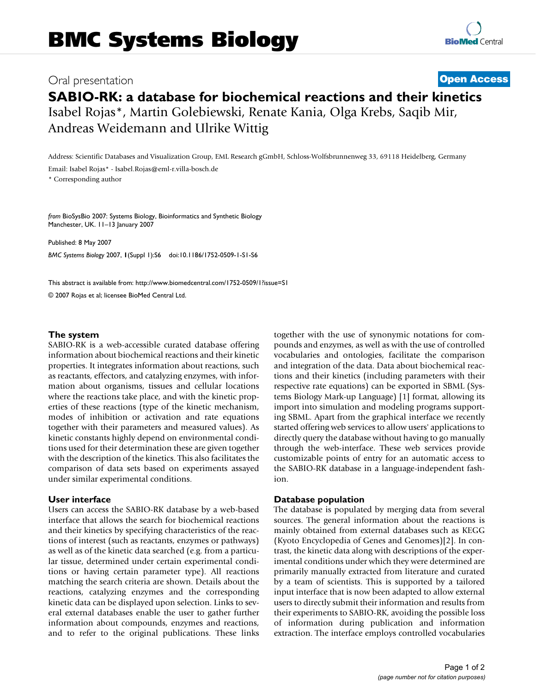# Oral presentation **[Open Access](http://www.biomedcentral.com/info/about/charter/)**

# **SABIO-RK: a database for biochemical reactions and their kinetics** Isabel Rojas\*, Martin Golebiewski, Renate Kania, Olga Krebs, Saqib Mir, Andreas Weidemann and Ulrike Wittig

Address: Scientific Databases and Visualization Group, EML Research gGmbH, Schloss-Wolfsbrunnenweg 33, 69118 Heidelberg, Germany

Email: Isabel Rojas\* - Isabel.Rojas@eml-r.villa-bosch.de

\* Corresponding author

*from* BioSysBio 2007: Systems Biology, Bioinformatics and Synthetic Biology Manchester, UK. 11–13 January 2007

Published: 8 May 2007 *BMC Systems Biology* 2007, **1**(Suppl 1):S6 doi:10.1186/1752-0509-1-S1-S6

[This abstract is available from: http://www.biomedcentral.com/1752-0509/1?issue=S1](http://www.biomedcentral.com/1752-0509/1?issue=S1)

© 2007 Rojas et al; licensee BioMed Central Ltd.

#### **The system**

SABIO-RK is a web-accessible curated database offering information about biochemical reactions and their kinetic properties. It integrates information about reactions, such as reactants, effectors, and catalyzing enzymes, with information about organisms, tissues and cellular locations where the reactions take place, and with the kinetic properties of these reactions (type of the kinetic mechanism, modes of inhibition or activation and rate equations together with their parameters and measured values). As kinetic constants highly depend on environmental conditions used for their determination these are given together with the description of the kinetics. This also facilitates the comparison of data sets based on experiments assayed under similar experimental conditions.

### **User interface**

Users can access the SABIO-RK database by a web-based interface that allows the search for biochemical reactions and their kinetics by specifying characteristics of the reactions of interest (such as reactants, enzymes or pathways) as well as of the kinetic data searched (e.g. from a particular tissue, determined under certain experimental conditions or having certain parameter type). All reactions matching the search criteria are shown. Details about the reactions, catalyzing enzymes and the corresponding kinetic data can be displayed upon selection. Links to several external databases enable the user to gather further information about compounds, enzymes and reactions, and to refer to the original publications. These links together with the use of synonymic notations for compounds and enzymes, as well as with the use of controlled vocabularies and ontologies, facilitate the comparison and integration of the data. Data about biochemical reactions and their kinetics (including parameters with their respective rate equations) can be exported in SBML (Systems Biology Mark-up Language) [1] format, allowing its import into simulation and modeling programs supporting SBML. Apart from the graphical interface we recently started offering web services to allow users' applications to directly query the database without having to go manually through the web-interface. These web services provide customizable points of entry for an automatic access to the SABIO-RK database in a language-independent fashion.

#### **Database population**

The database is populated by merging data from several sources. The general information about the reactions is mainly obtained from external databases such as KEGG (Kyoto Encyclopedia of Genes and Genomes)[2]. In contrast, the kinetic data along with descriptions of the experimental conditions under which they were determined are primarily manually extracted from literature and curated by a team of scientists. This is supported by a tailored input interface that is now been adapted to allow external users to directly submit their information and results from their experiments to SABIO-RK, avoiding the possible loss of information during publication and information extraction. The interface employs controlled vocabularies